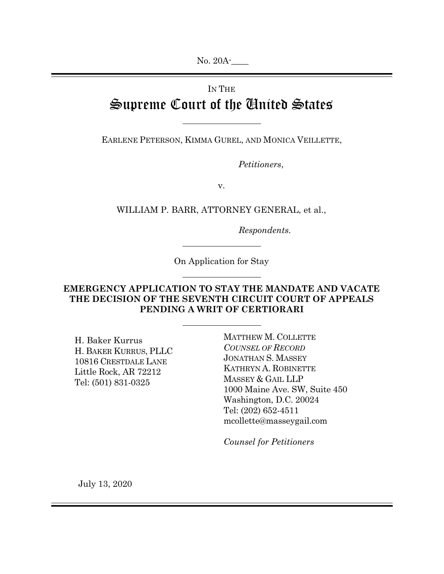No. 20A-

# IN THE Supreme Court of the United States

EARLENE PETERSON, KIMMA GUREL, AND MONICA VEILLETTE,

Petitioners,

v.

WILLIAM P. BARR, ATTORNEY GENERAL, et al.,

Respondents.

On Application for Stay

# EMERGENCY APPLICATION TO STAY THE MANDATE AND VACATE THE DECISION OF THE SEVENTH CIRCUIT COURT OF APPEALS PENDING A WRIT OF CERTIORARI

H. Baker Kurrus H. BAKER KURRUS, PLLC 10816 CRESTDALE LANE Little Rock, AR 72212 Tel: (501) 831-0325

MATTHEW M. COLLETTE COUNSEL OF RECORD JONATHAN S. MASSEY KATHRYN A. ROBINETTE MASSEY & GAIL LLP 1000 Maine Ave. SW, Suite 450 Washington, D.C. 20024 Tel: (202) 652-4511 mcollette@masseygail.com

Counsel for Petitioners

July 13, 2020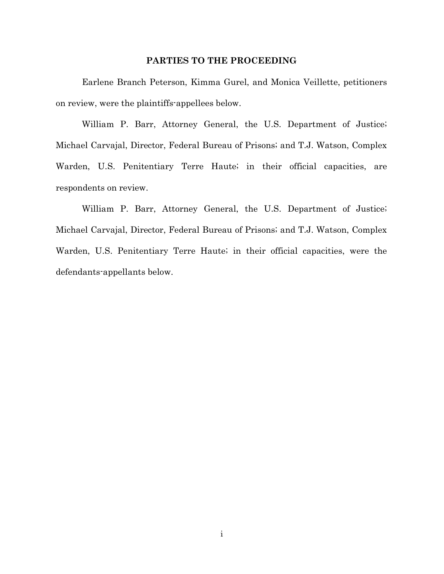#### PARTIES TO THE PROCEEDING

Earlene Branch Peterson, Kimma Gurel, and Monica Veillette, petitioners on review, were the plaintiffs-appellees below.

William P. Barr, Attorney General, the U.S. Department of Justice; Michael Carvajal, Director, Federal Bureau of Prisons; and T.J. Watson, Complex Warden, U.S. Penitentiary Terre Haute; in their official capacities, are respondents on review.

William P. Barr, Attorney General, the U.S. Department of Justice; Michael Carvajal, Director, Federal Bureau of Prisons; and T.J. Watson, Complex Warden, U.S. Penitentiary Terre Haute; in their official capacities, were the defendants-appellants below.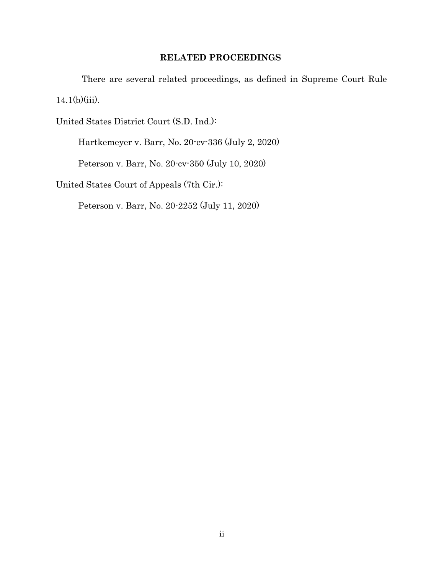## RELATED PROCEEDINGS

There are several related proceedings, as defined in Supreme Court Rule 14.1(b)(iii).

United States District Court (S.D. Ind.):

Hartkemeyer v. Barr, No. 20-cv-336 (July 2, 2020)

Peterson v. Barr, No. 20-cv-350 (July 10, 2020)

United States Court of Appeals (7th Cir.):

Peterson v. Barr, No. 20-2252 (July 11, 2020)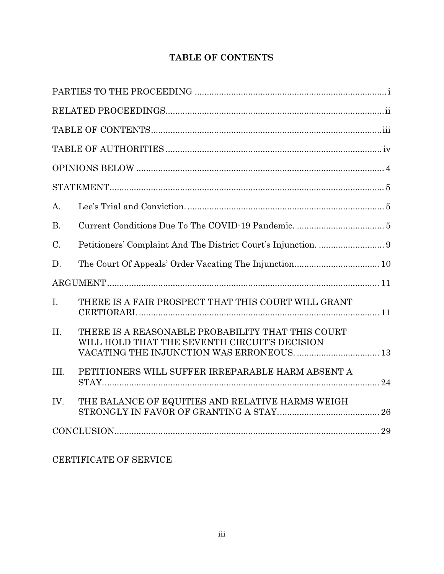# TABLE OF CONTENTS

| A.        |                                                                                                    |  |  |
|-----------|----------------------------------------------------------------------------------------------------|--|--|
| <b>B.</b> |                                                                                                    |  |  |
| C.        |                                                                                                    |  |  |
| D.        |                                                                                                    |  |  |
|           |                                                                                                    |  |  |
| I.        | THERE IS A FAIR PROSPECT THAT THIS COURT WILL GRANT                                                |  |  |
| II.       | THERE IS A REASONABLE PROBABILITY THAT THIS COURT<br>WILL HOLD THAT THE SEVENTH CIRCUIT'S DECISION |  |  |
| III.      | PETITIONERS WILL SUFFER IRREPARABLE HARM ABSENT A                                                  |  |  |
| IV.       | THE BALANCE OF EQUITIES AND RELATIVE HARMS WEIGH                                                   |  |  |
|           |                                                                                                    |  |  |

# CERTIFICATE OF SERVICE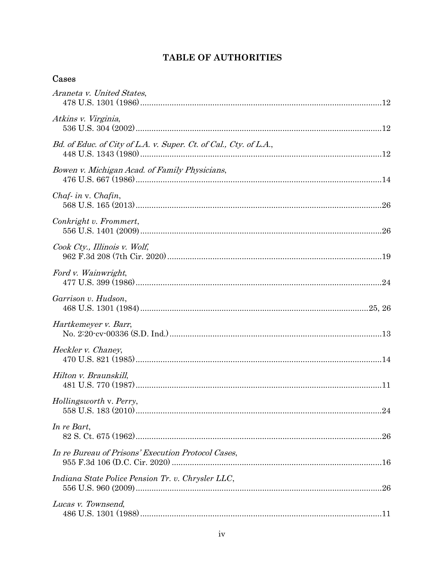# **TABLE OF AUTHORITIES**

# Cases

| Araneta v. United States,                                         |
|-------------------------------------------------------------------|
| Atkins v. Virginia,                                               |
| Bd. of Educ. of City of L.A. v. Super. Ct. of Cal., Cty. of L.A., |
| Bowen v. Michigan Acad. of Family Physicians,                     |
| $Chaf$ - in v. Chafin,                                            |
| Conkright v. Frommert,                                            |
| Cook Cty., Illinois v. Wolf,                                      |
| Ford v. Wainwright,                                               |
| Garrison v. Hudson,                                               |
| Hartkemeyer v. Barr,                                              |
| Heckler v. Chaney,                                                |
| Hilton v. Braunskill,                                             |
| Hollingsworth v. Perry,                                           |
| In re Bart,<br>.26                                                |
| In re Bureau of Prisons' Execution Protocol Cases,                |
| Indiana State Police Pension Tr. v. Chrysler LLC,                 |
| Lucas v. Townsend,                                                |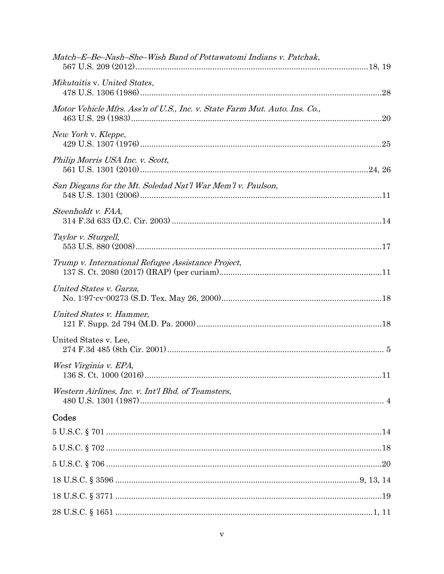| Match-E-Be-Nash-She-Wish Band of Pottawatomi Indians v. Patchak,           |  |
|----------------------------------------------------------------------------|--|
| Mikutaitis v. United States,                                               |  |
| Motor Vehicle Mfrs. Ass'n of U.S., Inc. v. State Farm Mut. Auto. Ins. Co., |  |
| New York v. Kleppe,                                                        |  |
| Philip Morris USA Inc. v. Scott,                                           |  |
| San Diegans for the Mt. Soledad Nat'l War Mem'l v. Paulson,                |  |
| Steenholdt v. FAA,                                                         |  |
| Taylor v. Sturgell,                                                        |  |
| Trump v. International Refugee Assistance Project,                         |  |
| United States v. Garza,                                                    |  |
| United States v. Hammer,                                                   |  |
| United States v. Lee,                                                      |  |
| West Virginia v. EPA,                                                      |  |
| Western Airlines, Inc. v. Int'l Bhd. of Teamsters,                         |  |
| Codes                                                                      |  |
|                                                                            |  |
|                                                                            |  |
|                                                                            |  |
|                                                                            |  |
|                                                                            |  |
|                                                                            |  |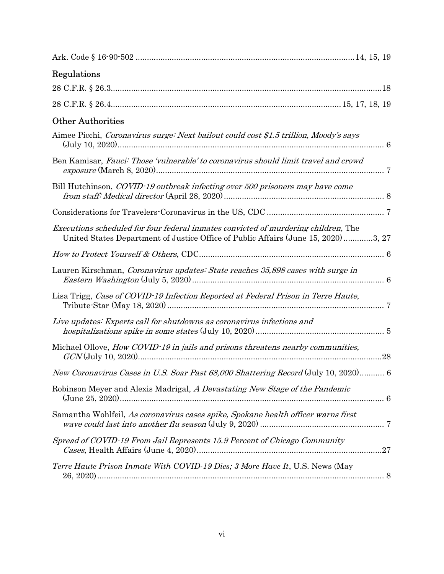| Regulations                                                                                                                                                                     |
|---------------------------------------------------------------------------------------------------------------------------------------------------------------------------------|
|                                                                                                                                                                                 |
|                                                                                                                                                                                 |
| <b>Other Authorities</b>                                                                                                                                                        |
| Aimee Picchi, Coronavirus surge: Next bailout could cost \$1.5 trillion, Moody's says                                                                                           |
| Ben Kamisar, Fauci: Those 'vulnerable' to coronavirus should limit travel and crowd                                                                                             |
| Bill Hutchinson, COVID-19 outbreak infecting over 500 prisoners may have come                                                                                                   |
|                                                                                                                                                                                 |
| <i>Executions scheduled for four federal inmates convicted of murdering children, The</i><br>United States Department of Justice Office of Public Affairs (June 15, 2020) 3, 27 |
|                                                                                                                                                                                 |
| Lauren Kirschman, Coronavirus updates: State reaches 35,898 cases with surge in                                                                                                 |
| Lisa Trigg, Case of COVID-19 Infection Reported at Federal Prison in Terre Haute,                                                                                               |
| Live updates: Experts call for shutdowns as coronavirus infections and                                                                                                          |
| Michael Ollove, <i>How COVID-19 in jails and prisons threatens nearby communities</i> ,                                                                                         |
| New Coronavirus Cases in U.S. Soar Past 68,000 Shattering Record (July 10, 2020) 6                                                                                              |
| Robinson Meyer and Alexis Madrigal, A Devastating New Stage of the Pandemic                                                                                                     |
| Samantha Wohlfeil, As coronavirus cases spike, Spokane health officer warns first                                                                                               |
| Spread of COVID-19 From Jail Represents 15.9 Percent of Chicago Community                                                                                                       |
| Terre Haute Prison Inmate With COVID-19 Dies; 3 More Have It, U.S. News (May                                                                                                    |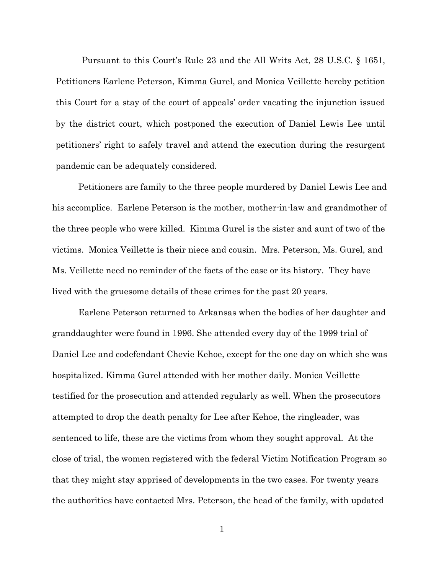Pursuant to this Court's Rule 23 and the All Writs Act, 28 U.S.C. § 1651, Petitioners Earlene Peterson, Kimma Gurel, and Monica Veillette hereby petition this Court for a stay of the court of appeals' order vacating the injunction issued by the district court, which postponed the execution of Daniel Lewis Lee until petitioners' right to safely travel and attend the execution during the resurgent pandemic can be adequately considered.

Petitioners are family to the three people murdered by Daniel Lewis Lee and his accomplice. Earlene Peterson is the mother, mother-in-law and grandmother of the three people who were killed. Kimma Gurel is the sister and aunt of two of the victims. Monica Veillette is their niece and cousin. Mrs. Peterson, Ms. Gurel, and Ms. Veillette need no reminder of the facts of the case or its history. They have lived with the gruesome details of these crimes for the past 20 years.

Earlene Peterson returned to Arkansas when the bodies of her daughter and granddaughter were found in 1996. She attended every day of the 1999 trial of Daniel Lee and codefendant Chevie Kehoe, except for the one day on which she was hospitalized. Kimma Gurel attended with her mother daily. Monica Veillette testified for the prosecution and attended regularly as well. When the prosecutors attempted to drop the death penalty for Lee after Kehoe, the ringleader, was sentenced to life, these are the victims from whom they sought approval. At the close of trial, the women registered with the federal Victim Notification Program so that they might stay apprised of developments in the two cases. For twenty years the authorities have contacted Mrs. Peterson, the head of the family, with updated

1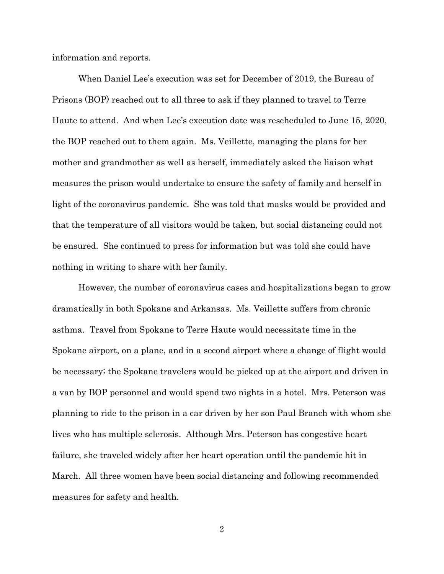information and reports.

When Daniel Lee's execution was set for December of 2019, the Bureau of Prisons (BOP) reached out to all three to ask if they planned to travel to Terre Haute to attend. And when Lee's execution date was rescheduled to June 15, 2020, the BOP reached out to them again. Ms. Veillette, managing the plans for her mother and grandmother as well as herself, immediately asked the liaison what measures the prison would undertake to ensure the safety of family and herself in light of the coronavirus pandemic. She was told that masks would be provided and that the temperature of all visitors would be taken, but social distancing could not be ensured. She continued to press for information but was told she could have nothing in writing to share with her family.

However, the number of coronavirus cases and hospitalizations began to grow dramatically in both Spokane and Arkansas. Ms. Veillette suffers from chronic asthma. Travel from Spokane to Terre Haute would necessitate time in the Spokane airport, on a plane, and in a second airport where a change of flight would be necessary; the Spokane travelers would be picked up at the airport and driven in a van by BOP personnel and would spend two nights in a hotel. Mrs. Peterson was planning to ride to the prison in a car driven by her son Paul Branch with whom she lives who has multiple sclerosis. Although Mrs. Peterson has congestive heart failure, she traveled widely after her heart operation until the pandemic hit in March. All three women have been social distancing and following recommended measures for safety and health.

2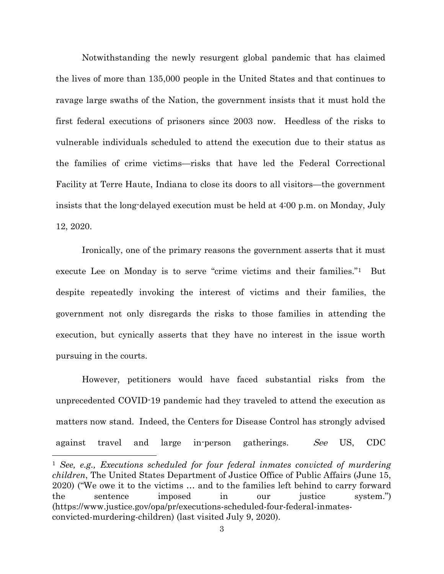Notwithstanding the newly resurgent global pandemic that has claimed the lives of more than 135,000 people in the United States and that continues to ravage large swaths of the Nation, the government insists that it must hold the first federal executions of prisoners since 2003 now. Heedless of the risks to vulnerable individuals scheduled to attend the execution due to their status as the families of crime victims—risks that have led the Federal Correctional Facility at Terre Haute, Indiana to close its doors to all visitors—the government insists that the long-delayed execution must be held at 4:00 p.m. on Monday, July 12, 2020.

Ironically, one of the primary reasons the government asserts that it must execute Lee on Monday is to serve "crime victims and their families."1 But despite repeatedly invoking the interest of victims and their families, the government not only disregards the risks to those families in attending the execution, but cynically asserts that they have no interest in the issue worth pursuing in the courts.

However, petitioners would have faced substantial risks from the unprecedented COVID-19 pandemic had they traveled to attend the execution as matters now stand. Indeed, the Centers for Disease Control has strongly advised against travel and large in-person gatherings. See US, CDC

<sup>1</sup> See, e.g., Executions scheduled for four federal inmates convicted of murdering children, The United States Department of Justice Office of Public Affairs (June 15, 2020) ("We owe it to the victims … and to the families left behind to carry forward the sentence imposed in our justice system.") (https://www.justice.gov/opa/pr/executions-scheduled-four-federal-inmatesconvicted-murdering-children) (last visited July 9, 2020).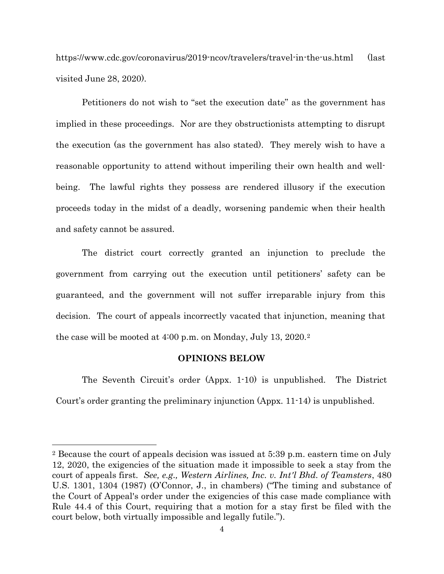https://www.cdc.gov/coronavirus/2019-ncov/travelers/travel-in-the-us.html (last visited June 28, 2020).

Petitioners do not wish to "set the execution date" as the government has implied in these proceedings. Nor are they obstructionists attempting to disrupt the execution (as the government has also stated). They merely wish to have a reasonable opportunity to attend without imperiling their own health and wellbeing. The lawful rights they possess are rendered illusory if the execution proceeds today in the midst of a deadly, worsening pandemic when their health and safety cannot be assured.

The district court correctly granted an injunction to preclude the government from carrying out the execution until petitioners' safety can be guaranteed, and the government will not suffer irreparable injury from this decision. The court of appeals incorrectly vacated that injunction, meaning that the case will be mooted at 4:00 p.m. on Monday, July 13, 2020.<sup>2</sup>

#### OPINIONS BELOW

The Seventh Circuit's order (Appx. 1-10) is unpublished. The District Court's order granting the preliminary injunction (Appx. 11-14) is unpublished.

<sup>2</sup> Because the court of appeals decision was issued at 5:39 p.m. eastern time on July 12, 2020, the exigencies of the situation made it impossible to seek a stay from the court of appeals first. See, e.g., Western Airlines, Inc. v. Int'l Bhd. of Teamsters, 480 U.S. 1301, 1304 (1987) (O'Connor, J., in chambers) ("The timing and substance of the Court of Appeal's order under the exigencies of this case made compliance with Rule 44.4 of this Court, requiring that a motion for a stay first be filed with the court below, both virtually impossible and legally futile.").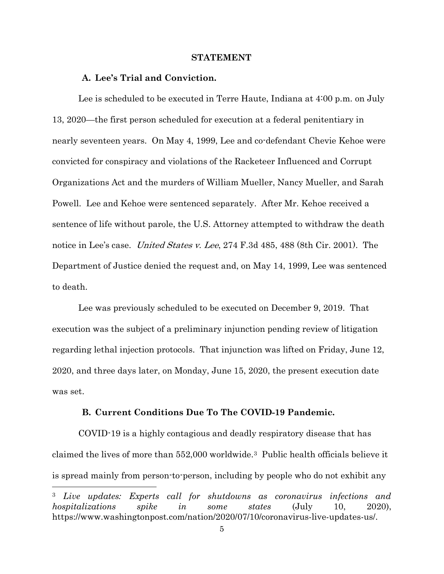#### STATEMENT

#### A. Lee's Trial and Conviction.

Lee is scheduled to be executed in Terre Haute, Indiana at 4:00 p.m. on July 13, 2020—the first person scheduled for execution at a federal penitentiary in nearly seventeen years. On May 4, 1999, Lee and co-defendant Chevie Kehoe were convicted for conspiracy and violations of the Racketeer Influenced and Corrupt Organizations Act and the murders of William Mueller, Nancy Mueller, and Sarah Powell. Lee and Kehoe were sentenced separately. After Mr. Kehoe received a sentence of life without parole, the U.S. Attorney attempted to withdraw the death notice in Lee's case. *United States v. Lee*, 274 F.3d 485, 488 (8th Cir. 2001). The Department of Justice denied the request and, on May 14, 1999, Lee was sentenced to death.

Lee was previously scheduled to be executed on December 9, 2019. That execution was the subject of a preliminary injunction pending review of litigation regarding lethal injection protocols. That injunction was lifted on Friday, June 12, 2020, and three days later, on Monday, June 15, 2020, the present execution date was set.

#### B. Current Conditions Due To The COVID-19 Pandemic.

COVID-19 is a highly contagious and deadly respiratory disease that has claimed the lives of more than 552,000 worldwide.3 Public health officials believe it is spread mainly from person-to-person, including by people who do not exhibit any

<sup>3</sup> Live updates: Experts call for shutdowns as coronavirus infections and hospitalizations spike in some states (July 10, 2020), https://www.washingtonpost.com/nation/2020/07/10/coronavirus-live-updates-us/.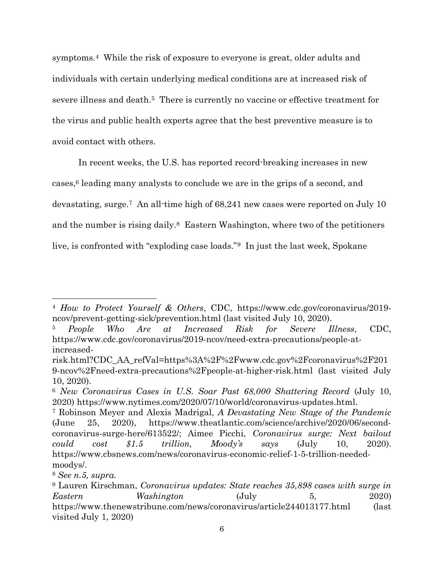symptoms.4 While the risk of exposure to everyone is great, older adults and individuals with certain underlying medical conditions are at increased risk of severe illness and death.5 There is currently no vaccine or effective treatment for the virus and public health experts agree that the best preventive measure is to avoid contact with others.

In recent weeks, the U.S. has reported record-breaking increases in new cases, $6$  leading many analysts to conclude we are in the grips of a second, and devastating, surge.7 An all-time high of 68,241 new cases were reported on July 10 and the number is rising daily.8 Eastern Washington, where two of the petitioners live, is confronted with "exploding case loads."9 In just the last week, Spokane

<sup>4</sup> How to Protect Yourself & Others, CDC, https://www.cdc.gov/coronavirus/2019 ncov/prevent-getting-sick/prevention.html (last visited July 10, 2020).

<sup>5</sup> People Who Are at Increased Risk for Severe Illness, CDC, https://www.cdc.gov/coronavirus/2019-ncov/need-extra-precautions/people-atincreased-

risk.html?CDC\_AA\_refVal=https%3A%2F%2Fwww.cdc.gov%2Fcoronavirus%2F201 9-ncov%2Fneed-extra-precautions%2Fpeople-at-higher-risk.html (last visited July 10, 2020).

<sup>6</sup> New Coronavirus Cases in U.S. Soar Past 68,000 Shattering Record (July 10, 2020) https://www.nytimes.com/2020/07/10/world/coronavirus-updates.html.

<sup>7</sup> Robinson Meyer and Alexis Madrigal, A Devastating New Stage of the Pandemic (June 25, 2020), https://www.theatlantic.com/science/archive/2020/06/secondcoronavirus-surge-here/613522/; Aimee Picchi, Coronavirus surge: Next bailout  $could \quad cost \quad $1.5 \quad trillion, \quad Moody's \quad says \quad (July \quad 10, \quad 2020).$ https://www.cbsnews.com/news/coronavirus-economic-relief-1-5-trillion-neededmoodys/.

<sup>8</sup> See n.5, supra.

<sup>9</sup> Lauren Kirschman, Coronavirus updates: State reaches 35,898 cases with surge in Eastern Washington (July 5, 2020) https://www.thenewstribune.com/news/coronavirus/article244013177.html (last visited July 1, 2020)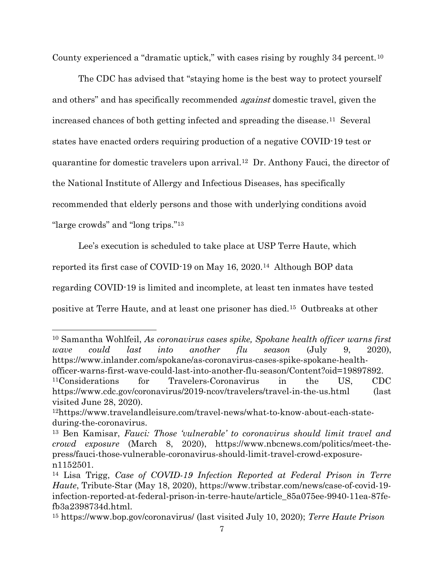County experienced a "dramatic uptick," with cases rising by roughly 34 percent.<sup>10</sup>

The CDC has advised that "staying home is the best way to protect yourself and others" and has specifically recommended *against* domestic travel, given the increased chances of both getting infected and spreading the disease.11 Several states have enacted orders requiring production of a negative COVID-19 test or quarantine for domestic travelers upon arrival.12 Dr. Anthony Fauci, the director of the National Institute of Allergy and Infectious Diseases, has specifically recommended that elderly persons and those with underlying conditions avoid "large crowds" and "long trips."<sup>13</sup>

Lee's execution is scheduled to take place at USP Terre Haute, which reported its first case of COVID-19 on May 16, 2020.14 Although BOP data regarding COVID-19 is limited and incomplete, at least ten inmates have tested positive at Terre Haute, and at least one prisoner has died.15 Outbreaks at other

<sup>10</sup> Samantha Wohlfeil, As coronavirus cases spike, Spokane health officer warns first wave could last into another flu season (July 9, 2020), https://www.inlander.com/spokane/as-coronavirus-cases-spike-spokane-healthofficer-warns-first-wave-could-last-into-another-flu-season/Content?oid=19897892. <sup>11</sup>Considerations for Travelers-Coronavirus in the US, CDC https://www.cdc.gov/coronavirus/2019-ncov/travelers/travel-in-the-us.html (last visited June 28, 2020).

<sup>12</sup>https://www.travelandleisure.com/travel-news/what-to-know-about-each-stateduring-the-coronavirus.

<sup>13</sup> Ben Kamisar, Fauci: Those 'vulnerable' to coronavirus should limit travel and crowd exposure (March 8, 2020), https://www.nbcnews.com/politics/meet-thepress/fauci-those-vulnerable-coronavirus-should-limit-travel-crowd-exposuren1152501.

<sup>14</sup> Lisa Trigg, Case of COVID-19 Infection Reported at Federal Prison in Terre Haute, Tribute-Star (May 18, 2020), https://www.tribstar.com/news/case-of-covid-19 infection-reported-at-federal-prison-in-terre-haute/article\_85a075ee-9940-11ea-87fefb3a2398734d.html.

<sup>&</sup>lt;sup>15</sup> https://www.bop.gov/coronavirus/ (last visited July 10, 2020); *Terre Haute Prison*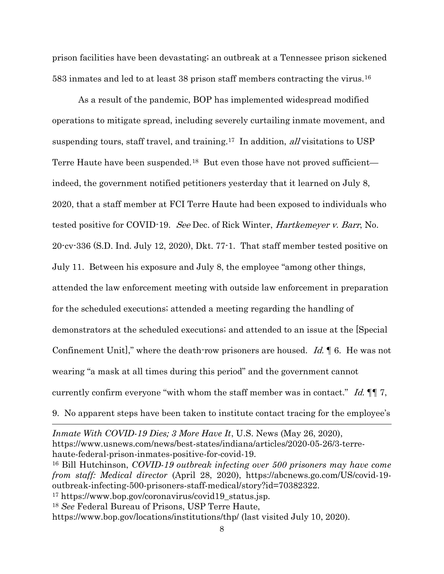prison facilities have been devastating; an outbreak at a Tennessee prison sickened 583 inmates and led to at least 38 prison staff members contracting the virus.<sup>16</sup>

As a result of the pandemic, BOP has implemented widespread modified operations to mitigate spread, including severely curtailing inmate movement, and suspending tours, staff travel, and training.17 In addition, all visitations to USP Terre Haute have been suspended.18 But even those have not proved sufficient indeed, the government notified petitioners yesterday that it learned on July 8, 2020, that a staff member at FCI Terre Haute had been exposed to individuals who tested positive for COVID-19. See Dec. of Rick Winter, Hartkemeyer v. Barr, No. 20-cv-336 (S.D. Ind. July 12, 2020), Dkt. 77-1. That staff member tested positive on July 11. Between his exposure and July 8, the employee "among other things, attended the law enforcement meeting with outside law enforcement in preparation for the scheduled executions; attended a meeting regarding the handling of demonstrators at the scheduled executions; and attended to an issue at the [Special Confinement Unit]," where the death-row prisoners are housed. Id.  $\parallel$  6. He was not wearing "a mask at all times during this period" and the government cannot currently confirm everyone "with whom the staff member was in contact." Id.  $\P\P$ . 9. No apparent steps have been taken to institute contact tracing for the employee's

Inmate With COVID-19 Dies; 3 More Have It, U.S. News (May 26, 2020), https://www.usnews.com/news/best-states/indiana/articles/2020-05-26/3-terrehaute-federal-prison-inmates-positive-for-covid-19.

<sup>17</sup> https://www.bop.gov/coronavirus/covid19\_status.jsp.

<sup>16</sup> Bill Hutchinson, COVID-19 outbreak infecting over 500 prisoners may have come from staff: Medical director (April 28, 2020), https://abcnews.go.com/US/covid-19 outbreak-infecting-500-prisoners-staff-medical/story?id=70382322.

<sup>18</sup> See Federal Bureau of Prisons, USP Terre Haute,

https://www.bop.gov/locations/institutions/thp/ (last visited July 10, 2020).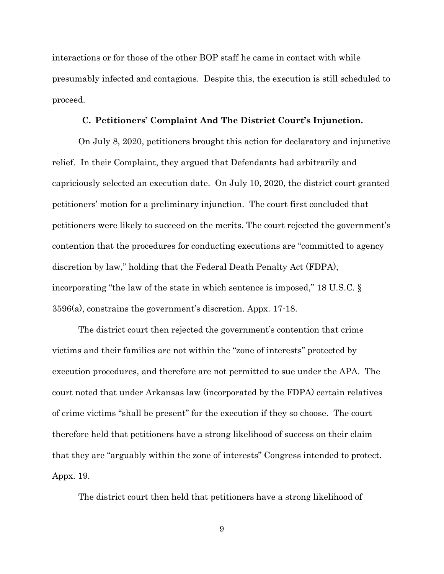interactions or for those of the other BOP staff he came in contact with while presumably infected and contagious. Despite this, the execution is still scheduled to proceed.

#### C. Petitioners' Complaint And The District Court's Injunction.

On July 8, 2020, petitioners brought this action for declaratory and injunctive relief. In their Complaint, they argued that Defendants had arbitrarily and capriciously selected an execution date. On July 10, 2020, the district court granted petitioners' motion for a preliminary injunction. The court first concluded that petitioners were likely to succeed on the merits. The court rejected the government's contention that the procedures for conducting executions are "committed to agency discretion by law," holding that the Federal Death Penalty Act (FDPA), incorporating "the law of the state in which sentence is imposed," 18 U.S.C. § 3596(a), constrains the government's discretion. Appx. 17-18.

The district court then rejected the government's contention that crime victims and their families are not within the "zone of interests" protected by execution procedures, and therefore are not permitted to sue under the APA. The court noted that under Arkansas law (incorporated by the FDPA) certain relatives of crime victims "shall be present" for the execution if they so choose. The court therefore held that petitioners have a strong likelihood of success on their claim that they are "arguably within the zone of interests" Congress intended to protect. Appx. 19.

The district court then held that petitioners have a strong likelihood of

9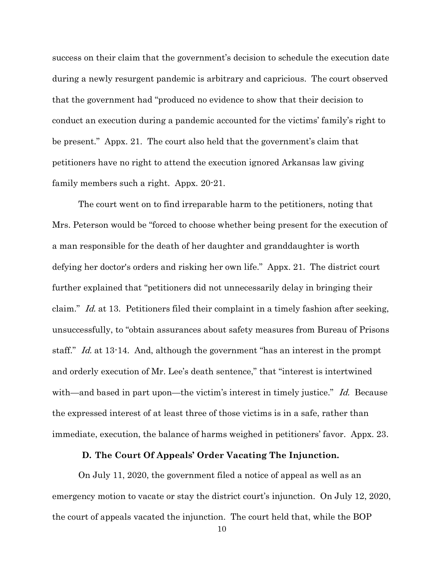success on their claim that the government's decision to schedule the execution date during a newly resurgent pandemic is arbitrary and capricious. The court observed that the government had "produced no evidence to show that their decision to conduct an execution during a pandemic accounted for the victims' family's right to be present." Appx. 21. The court also held that the government's claim that petitioners have no right to attend the execution ignored Arkansas law giving family members such a right. Appx. 20-21.

The court went on to find irreparable harm to the petitioners, noting that Mrs. Peterson would be "forced to choose whether being present for the execution of a man responsible for the death of her daughter and granddaughter is worth defying her doctor's orders and risking her own life." Appx. 21. The district court further explained that "petitioners did not unnecessarily delay in bringing their claim." Id. at 13. Petitioners filed their complaint in a timely fashion after seeking, unsuccessfully, to "obtain assurances about safety measures from Bureau of Prisons staff." Id. at 13-14. And, although the government "has an interest in the prompt and orderly execution of Mr. Lee's death sentence," that "interest is intertwined with—and based in part upon—the victim's interest in timely justice." Id. Because the expressed interest of at least three of those victims is in a safe, rather than immediate, execution, the balance of harms weighed in petitioners' favor. Appx. 23.

#### D. The Court Of Appeals' Order Vacating The Injunction.

On July 11, 2020, the government filed a notice of appeal as well as an emergency motion to vacate or stay the district court's injunction. On July 12, 2020, the court of appeals vacated the injunction. The court held that, while the BOP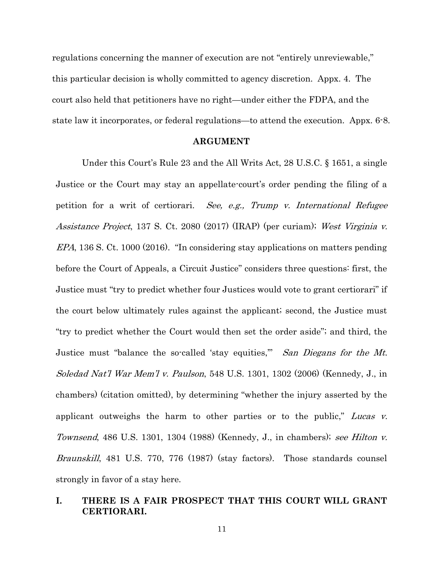regulations concerning the manner of execution are not "entirely unreviewable," this particular decision is wholly committed to agency discretion. Appx. 4. The court also held that petitioners have no right—under either the FDPA, and the state law it incorporates, or federal regulations—to attend the execution. Appx. 6-8.

#### ARGUMENT

Under this Court's Rule 23 and the All Writs Act, 28 U.S.C. § 1651, a single Justice or the Court may stay an appellate-court's order pending the filing of a petition for a writ of certiorari. See, e.g., Trump v. International Refugee Assistance Project, 137 S. Ct. 2080 (2017) (IRAP) (per curiam); West Virginia v. EPA, 136 S. Ct. 1000 (2016). "In considering stay applications on matters pending before the Court of Appeals, a Circuit Justice" considers three questions: first, the Justice must "try to predict whether four Justices would vote to grant certiorari" if the court below ultimately rules against the applicant; second, the Justice must "try to predict whether the Court would then set the order aside"; and third, the Justice must "balance the so-called 'stay equities," San Diegans for the Mt. Soledad Nat'l War Mem'l v. Paulson, 548 U.S. 1301, 1302 (2006) (Kennedy, J., in chambers) (citation omitted), by determining "whether the injury asserted by the applicant outweighs the harm to other parties or to the public," Lucas  $v$ . Townsend, 486 U.S. 1301, 1304 (1988) (Kennedy, J., in chambers); see Hilton v. Braunskill, 481 U.S. 770, 776 (1987) (stay factors). Those standards counsel strongly in favor of a stay here.

### I. THERE IS A FAIR PROSPECT THAT THIS COURT WILL GRANT CERTIORARI.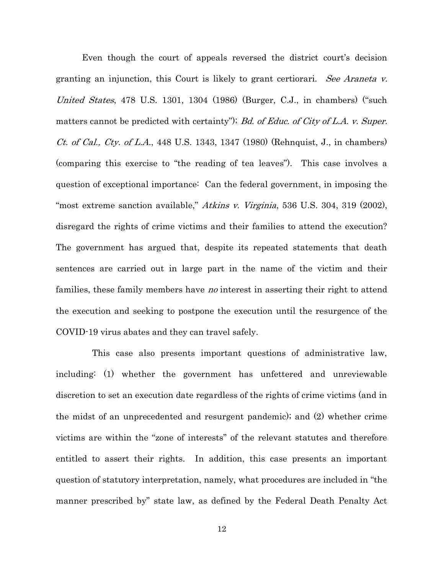Even though the court of appeals reversed the district court's decision granting an injunction, this Court is likely to grant certiorari. See Araneta v. United States, 478 U.S. 1301, 1304 (1986) (Burger, C.J., in chambers) ("such matters cannot be predicted with certainty"); Bd. of Educ. of City of L.A. v. Super. Ct. of Cal., Cty. of L.A., 448 U.S. 1343, 1347 (1980) (Rehnquist, J., in chambers) (comparing this exercise to "the reading of tea leaves"). This case involves a question of exceptional importance: Can the federal government, in imposing the "most extreme sanction available," Atkins v. Virginia, 536 U.S. 304, 319 (2002), disregard the rights of crime victims and their families to attend the execution? The government has argued that, despite its repeated statements that death sentences are carried out in large part in the name of the victim and their families, these family members have *no* interest in asserting their right to attend the execution and seeking to postpone the execution until the resurgence of the COVID-19 virus abates and they can travel safely.

 This case also presents important questions of administrative law, including: (1) whether the government has unfettered and unreviewable discretion to set an execution date regardless of the rights of crime victims (and in the midst of an unprecedented and resurgent pandemic); and (2) whether crime victims are within the "zone of interests" of the relevant statutes and therefore entitled to assert their rights. In addition, this case presents an important question of statutory interpretation, namely, what procedures are included in "the manner prescribed by" state law, as defined by the Federal Death Penalty Act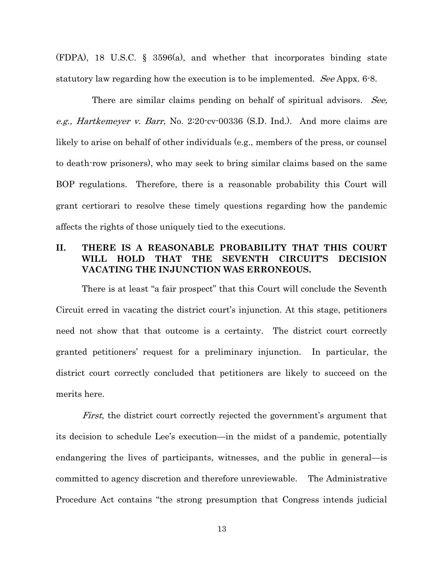(FDPA), 18 U.S.C. § 3596(a), and whether that incorporates binding state statutory law regarding how the execution is to be implemented. See Appx. 6-8.

There are similar claims pending on behalf of spiritual advisors. See, e.g., Hartkemeyer v. Barr, No. 2:20-cv-00336 (S.D. Ind.). And more claims are likely to arise on behalf of other individuals (e.g., members of the press, or counsel to death-row prisoners), who may seek to bring similar claims based on the same BOP regulations. Therefore, there is a reasonable probability this Court will grant certiorari to resolve these timely questions regarding how the pandemic affects the rights of those uniquely tied to the executions.

# II. THERE IS A REASONABLE PROBABILITY THAT THIS COURT WILL HOLD THAT THE SEVENTH CIRCUIT'S DECISION VACATING THE INJUNCTION WAS ERRONEOUS.

There is at least "a fair prospect" that this Court will conclude the Seventh Circuit erred in vacating the district court's injunction. At this stage, petitioners need not show that that outcome is a certainty. The district court correctly granted petitioners' request for a preliminary injunction. In particular, the district court correctly concluded that petitioners are likely to succeed on the merits here.

First, the district court correctly rejected the government's argument that its decision to schedule Lee's execution—in the midst of a pandemic, potentially endangering the lives of participants, witnesses, and the public in general—is committed to agency discretion and therefore unreviewable. The Administrative Procedure Act contains "the strong presumption that Congress intends judicial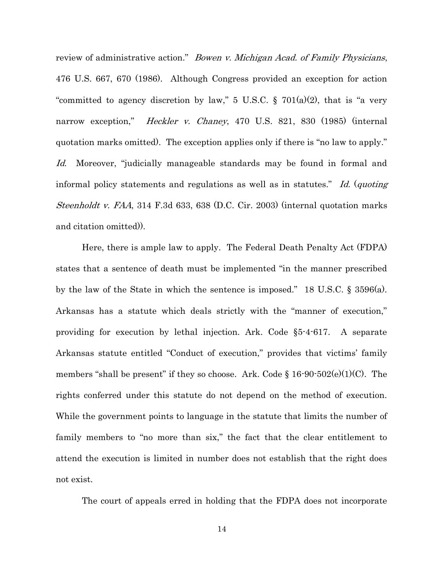review of administrative action." *Bowen v. Michigan Acad. of Family Physicians*, 476 U.S. 667, 670 (1986). Although Congress provided an exception for action "committed to agency discretion by law," 5 U.S.C.  $\S$  701(a)(2), that is "a very narrow exception," *Heckler v. Chaney*, 470 U.S. 821, 830 (1985) (internal quotation marks omitted). The exception applies only if there is "no law to apply." Id. Moreover, "judicially manageable standards may be found in formal and informal policy statements and regulations as well as in statutes." Id. (quoting Steenholdt v. FAA, 314 F.3d 633, 638 (D.C. Cir. 2003) (internal quotation marks and citation omitted)).

Here, there is ample law to apply. The Federal Death Penalty Act (FDPA) states that a sentence of death must be implemented "in the manner prescribed by the law of the State in which the sentence is imposed." 18 U.S.C. § 3596(a). Arkansas has a statute which deals strictly with the "manner of execution," providing for execution by lethal injection. Ark. Code §5-4-617. A separate Arkansas statute entitled "Conduct of execution," provides that victims' family members "shall be present" if they so choose. Ark. Code  $\S 16\text{-}90\text{-}502(e)(1)(C)$ . The rights conferred under this statute do not depend on the method of execution. While the government points to language in the statute that limits the number of family members to "no more than six," the fact that the clear entitlement to attend the execution is limited in number does not establish that the right does not exist.

The court of appeals erred in holding that the FDPA does not incorporate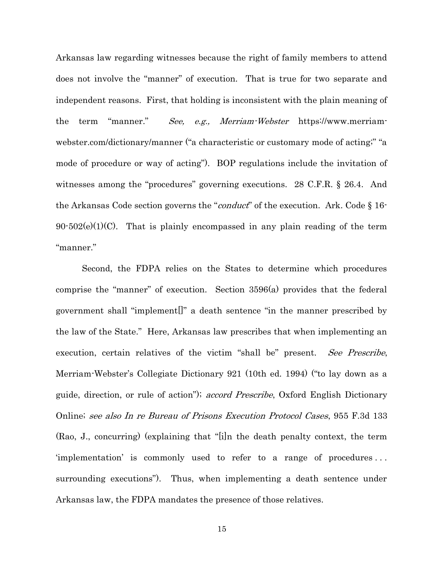Arkansas law regarding witnesses because the right of family members to attend does not involve the "manner" of execution. That is true for two separate and independent reasons. First, that holding is inconsistent with the plain meaning of the term "manner." See, e.g., Merriam-Webster https://www.merriamwebster.com/dictionary/manner ("a characteristic or customary mode of acting;" "a mode of procedure or way of acting"). BOP regulations include the invitation of witnesses among the "procedures" governing executions. 28 C.F.R. § 26.4. And the Arkansas Code section governs the "*conduct*" of the execution. Ark. Code § 16- $90-502(e)(1)(C)$ . That is plainly encompassed in any plain reading of the term "manner."

Second, the FDPA relies on the States to determine which procedures comprise the "manner" of execution. Section 3596(a) provides that the federal government shall "implement[]" a death sentence "in the manner prescribed by the law of the State." Here, Arkansas law prescribes that when implementing an execution, certain relatives of the victim "shall be" present. See Prescribe, Merriam-Webster's Collegiate Dictionary 921 (10th ed. 1994) ("to lay down as a guide, direction, or rule of action"); *accord Prescribe*, Oxford English Dictionary Online; see also In re Bureau of Prisons Execution Protocol Cases, 955 F.3d 133 (Rao, J., concurring) (explaining that "[i]n the death penalty context, the term 'implementation' is commonly used to refer to a range of procedures . . . surrounding executions"). Thus, when implementing a death sentence under Arkansas law, the FDPA mandates the presence of those relatives.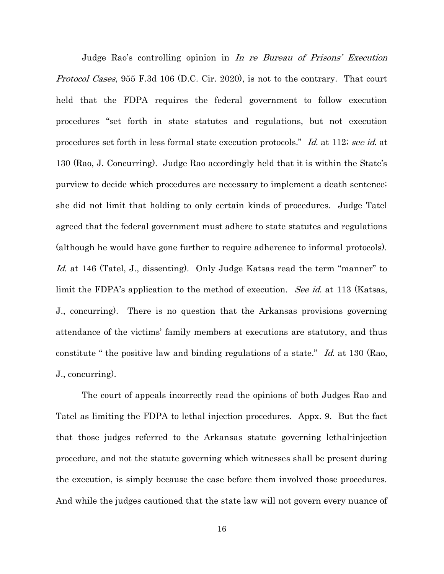Judge Rao's controlling opinion in In re Bureau of Prisons' Execution *Protocol Cases*, 955 F.3d 106 (D.C. Cir. 2020), is not to the contrary. That court held that the FDPA requires the federal government to follow execution procedures "set forth in state statutes and regulations, but not execution procedures set forth in less formal state execution protocols." Id. at 112; see id. at 130 (Rao, J. Concurring). Judge Rao accordingly held that it is within the State's purview to decide which procedures are necessary to implement a death sentence; she did not limit that holding to only certain kinds of procedures. Judge Tatel agreed that the federal government must adhere to state statutes and regulations (although he would have gone further to require adherence to informal protocols). Id. at 146 (Tatel, J., dissenting). Only Judge Katsas read the term "manner" to limit the FDPA's application to the method of execution. See id. at 113 (Katsas, J., concurring). There is no question that the Arkansas provisions governing attendance of the victims' family members at executions are statutory, and thus constitute " the positive law and binding regulations of a state."  $Id$  at 130 (Rao, J., concurring).

The court of appeals incorrectly read the opinions of both Judges Rao and Tatel as limiting the FDPA to lethal injection procedures. Appx. 9. But the fact that those judges referred to the Arkansas statute governing lethal-injection procedure, and not the statute governing which witnesses shall be present during the execution, is simply because the case before them involved those procedures. And while the judges cautioned that the state law will not govern every nuance of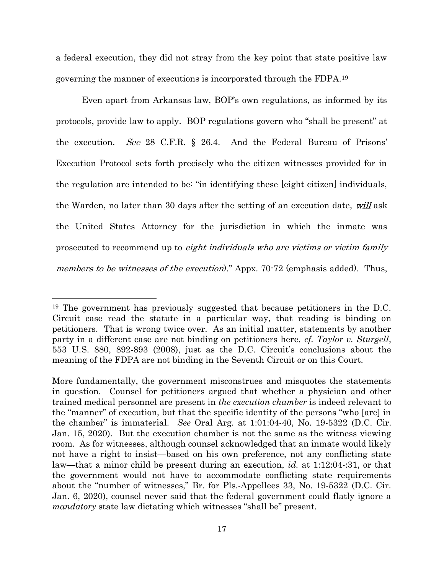a federal execution, they did not stray from the key point that state positive law governing the manner of executions is incorporated through the FDPA.<sup>19</sup>

Even apart from Arkansas law, BOP's own regulations, as informed by its protocols, provide law to apply. BOP regulations govern who "shall be present" at the execution. See 28 C.F.R. § 26.4. And the Federal Bureau of Prisons' Execution Protocol sets forth precisely who the citizen witnesses provided for in the regulation are intended to be: "in identifying these [eight citizen] individuals, the Warden, no later than 30 days after the setting of an execution date, will ask the United States Attorney for the jurisdiction in which the inmate was prosecuted to recommend up to eight individuals who are victims or victim family members to be witnesses of the execution)." Appx. 70-72 (emphasis added). Thus,

<sup>19</sup> The government has previously suggested that because petitioners in the D.C. Circuit case read the statute in a particular way, that reading is binding on petitioners. That is wrong twice over. As an initial matter, statements by another party in a different case are not binding on petitioners here, cf. Taylor v. Sturgell, 553 U.S. 880, 892-893 (2008), just as the D.C. Circuit's conclusions about the meaning of the FDPA are not binding in the Seventh Circuit or on this Court.

More fundamentally, the government misconstrues and misquotes the statements in question. Counsel for petitioners argued that whether a physician and other trained medical personnel are present in the execution chamber is indeed relevant to the "manner" of execution, but that the specific identity of the persons "who [are] in the chamber" is immaterial. See Oral Arg. at 1:01:04-40, No. 19-5322 (D.C. Cir. Jan. 15, 2020). But the execution chamber is not the same as the witness viewing room. As for witnesses, although counsel acknowledged that an inmate would likely not have a right to insist—based on his own preference, not any conflicting state law—that a minor child be present during an execution, *id.* at 1:12:04-:31, or that the government would not have to accommodate conflicting state requirements about the "number of witnesses," Br. for Pls.-Appellees 33, No. 19-5322 (D.C. Cir. Jan. 6, 2020), counsel never said that the federal government could flatly ignore a mandatory state law dictating which witnesses "shall be" present.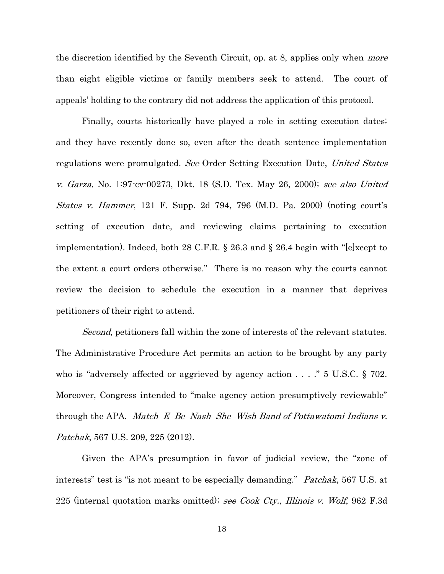the discretion identified by the Seventh Circuit, op. at 8, applies only when *more* than eight eligible victims or family members seek to attend. The court of appeals' holding to the contrary did not address the application of this protocol.

Finally, courts historically have played a role in setting execution dates; and they have recently done so, even after the death sentence implementation regulations were promulgated. See Order Setting Execution Date, United States v. Garza, No. 1:97-cv-00273, Dkt. 18 (S.D. Tex. May 26, 2000); see also United States v. Hammer, 121 F. Supp. 2d 794, 796 (M.D. Pa. 2000) (noting court's setting of execution date, and reviewing claims pertaining to execution implementation). Indeed, both 28 C.F.R. § 26.3 and § 26.4 begin with "[e]xcept to the extent a court orders otherwise." There is no reason why the courts cannot review the decision to schedule the execution in a manner that deprives petitioners of their right to attend.

Second, petitioners fall within the zone of interests of the relevant statutes. The Administrative Procedure Act permits an action to be brought by any party who is "adversely affected or aggrieved by agency action . . . ." 5 U.S.C. § 702. Moreover, Congress intended to "make agency action presumptively reviewable" through the APA. *Match–E–Be–Nash–She–Wish Band of Pottawatomi Indians v.* Patchak, 567 U.S. 209, 225 (2012).

Given the APA's presumption in favor of judicial review, the "zone of interests" test is "is not meant to be especially demanding." *Patchak*, 567 U.S. at 225 (internal quotation marks omitted); see Cook Cty., Illinois v. Wolf, 962 F.3d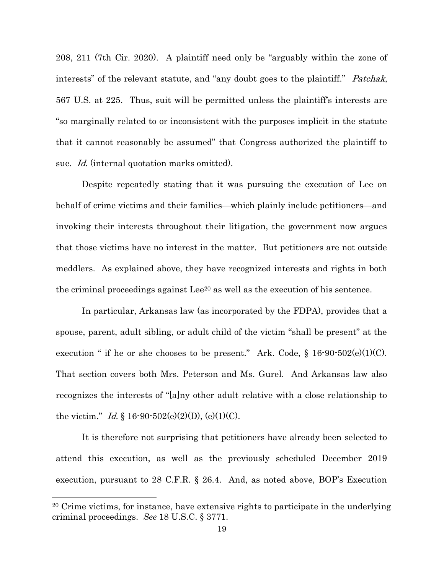208, 211 (7th Cir. 2020). A plaintiff need only be "arguably within the zone of interests" of the relevant statute, and "any doubt goes to the plaintiff." *Patchak*, 567 U.S. at 225. Thus, suit will be permitted unless the plaintiff's interests are "so marginally related to or inconsistent with the purposes implicit in the statute that it cannot reasonably be assumed" that Congress authorized the plaintiff to sue. *Id.* (internal quotation marks omitted).

Despite repeatedly stating that it was pursuing the execution of Lee on behalf of crime victims and their families—which plainly include petitioners—and invoking their interests throughout their litigation, the government now argues that those victims have no interest in the matter. But petitioners are not outside meddlers. As explained above, they have recognized interests and rights in both the criminal proceedings against Lee<sup>20</sup> as well as the execution of his sentence.

In particular, Arkansas law (as incorporated by the FDPA), provides that a spouse, parent, adult sibling, or adult child of the victim "shall be present" at the execution " if he or she chooses to be present." Ark. Code,  $\S$  16-90-502(e)(1)(C). That section covers both Mrs. Peterson and Ms. Gurel. And Arkansas law also recognizes the interests of "[a]ny other adult relative with a close relationship to the victim." *Id.* § 16-90-502(e)(2)(D), (e)(1)(C).

It is therefore not surprising that petitioners have already been selected to attend this execution, as well as the previously scheduled December 2019 execution, pursuant to 28 C.F.R. § 26.4. And, as noted above, BOP's Execution

<sup>20</sup> Crime victims, for instance, have extensive rights to participate in the underlying criminal proceedings. See 18 U.S.C. § 3771.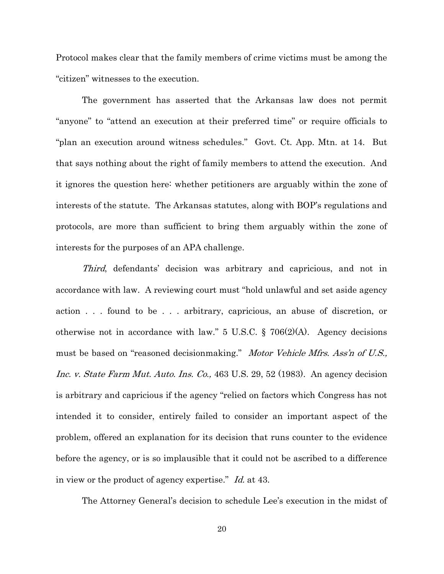Protocol makes clear that the family members of crime victims must be among the "citizen" witnesses to the execution.

The government has asserted that the Arkansas law does not permit "anyone" to "attend an execution at their preferred time" or require officials to "plan an execution around witness schedules." Govt. Ct. App. Mtn. at 14. But that says nothing about the right of family members to attend the execution. And it ignores the question here: whether petitioners are arguably within the zone of interests of the statute. The Arkansas statutes, along with BOP's regulations and protocols, are more than sufficient to bring them arguably within the zone of interests for the purposes of an APA challenge.

Third, defendants' decision was arbitrary and capricious, and not in accordance with law. A reviewing court must "hold unlawful and set aside agency action . . . found to be . . . arbitrary, capricious, an abuse of discretion, or otherwise not in accordance with law."  $5 \text{ U.S.C.}$  §  $706(2)(\text{A})$ . Agency decisions must be based on "reasoned decisionmaking." Motor Vehicle Mfrs. Ass'n of U.S., Inc. v. State Farm Mut. Auto. Ins. Co., 463 U.S. 29, 52 (1983). An agency decision is arbitrary and capricious if the agency "relied on factors which Congress has not intended it to consider, entirely failed to consider an important aspect of the problem, offered an explanation for its decision that runs counter to the evidence before the agency, or is so implausible that it could not be ascribed to a difference in view or the product of agency expertise." Id. at 43.

The Attorney General's decision to schedule Lee's execution in the midst of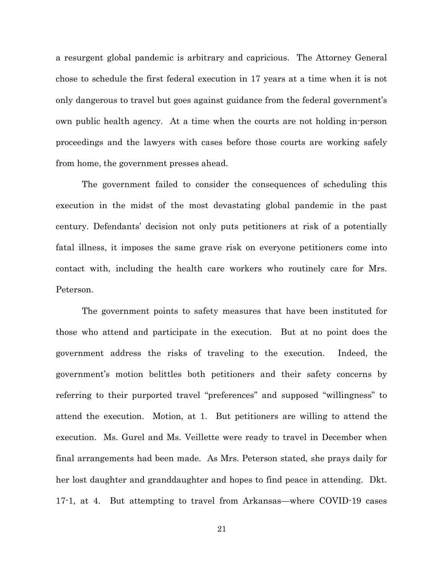a resurgent global pandemic is arbitrary and capricious. The Attorney General chose to schedule the first federal execution in 17 years at a time when it is not only dangerous to travel but goes against guidance from the federal government's own public health agency. At a time when the courts are not holding in-person proceedings and the lawyers with cases before those courts are working safely from home, the government presses ahead.

The government failed to consider the consequences of scheduling this execution in the midst of the most devastating global pandemic in the past century. Defendants' decision not only puts petitioners at risk of a potentially fatal illness, it imposes the same grave risk on everyone petitioners come into contact with, including the health care workers who routinely care for Mrs. Peterson.

The government points to safety measures that have been instituted for those who attend and participate in the execution. But at no point does the government address the risks of traveling to the execution. Indeed, the government's motion belittles both petitioners and their safety concerns by referring to their purported travel "preferences" and supposed "willingness" to attend the execution. Motion, at 1. But petitioners are willing to attend the execution. Ms. Gurel and Ms. Veillette were ready to travel in December when final arrangements had been made. As Mrs. Peterson stated, she prays daily for her lost daughter and granddaughter and hopes to find peace in attending. Dkt. 17-1, at 4. But attempting to travel from Arkansas—where COVID-19 cases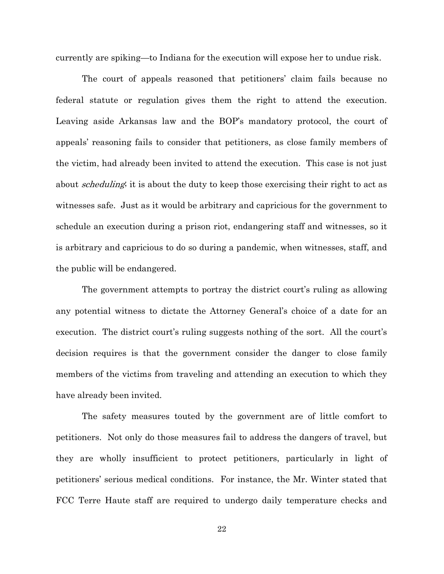currently are spiking—to Indiana for the execution will expose her to undue risk.

The court of appeals reasoned that petitioners' claim fails because no federal statute or regulation gives them the right to attend the execution. Leaving aside Arkansas law and the BOP's mandatory protocol, the court of appeals' reasoning fails to consider that petitioners, as close family members of the victim, had already been invited to attend the execution. This case is not just about *scheduling*; it is about the duty to keep those exercising their right to act as witnesses safe. Just as it would be arbitrary and capricious for the government to schedule an execution during a prison riot, endangering staff and witnesses, so it is arbitrary and capricious to do so during a pandemic, when witnesses, staff, and the public will be endangered.

The government attempts to portray the district court's ruling as allowing any potential witness to dictate the Attorney General's choice of a date for an execution. The district court's ruling suggests nothing of the sort. All the court's decision requires is that the government consider the danger to close family members of the victims from traveling and attending an execution to which they have already been invited.

The safety measures touted by the government are of little comfort to petitioners. Not only do those measures fail to address the dangers of travel, but they are wholly insufficient to protect petitioners, particularly in light of petitioners' serious medical conditions. For instance, the Mr. Winter stated that FCC Terre Haute staff are required to undergo daily temperature checks and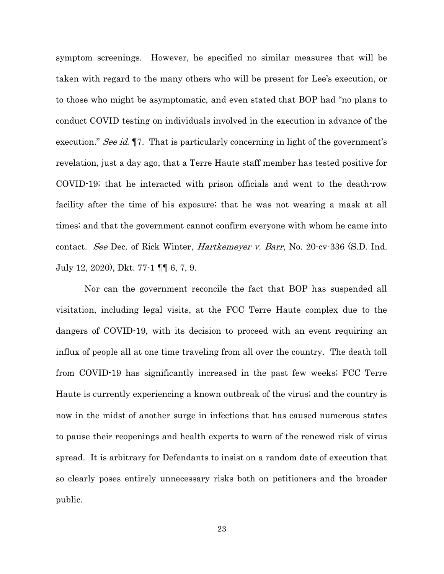symptom screenings. However, he specified no similar measures that will be taken with regard to the many others who will be present for Lee's execution, or to those who might be asymptomatic, and even stated that BOP had "no plans to conduct COVID testing on individuals involved in the execution in advance of the execution." See id. 17. That is particularly concerning in light of the government's revelation, just a day ago, that a Terre Haute staff member has tested positive for COVID-19; that he interacted with prison officials and went to the death-row facility after the time of his exposure; that he was not wearing a mask at all times; and that the government cannot confirm everyone with whom he came into contact. See Dec. of Rick Winter, *Hartkemeyer v. Barr*, No. 20-cv-336 (S.D. Ind. July 12, 2020), Dkt. 77-1 ¶¶ 6, 7, 9.

 Nor can the government reconcile the fact that BOP has suspended all visitation, including legal visits, at the FCC Terre Haute complex due to the dangers of COVID-19, with its decision to proceed with an event requiring an influx of people all at one time traveling from all over the country. The death toll from COVID-19 has significantly increased in the past few weeks; FCC Terre Haute is currently experiencing a known outbreak of the virus; and the country is now in the midst of another surge in infections that has caused numerous states to pause their reopenings and health experts to warn of the renewed risk of virus spread. It is arbitrary for Defendants to insist on a random date of execution that so clearly poses entirely unnecessary risks both on petitioners and the broader public.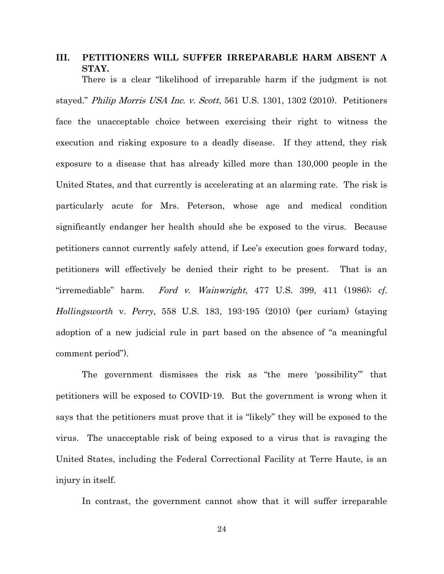# III. PETITIONERS WILL SUFFER IRREPARABLE HARM ABSENT A STAY.

There is a clear "likelihood of irreparable harm if the judgment is not stayed." *Philip Morris USA Inc. v. Scott*, 561 U.S. 1301, 1302 (2010). Petitioners face the unacceptable choice between exercising their right to witness the execution and risking exposure to a deadly disease. If they attend, they risk exposure to a disease that has already killed more than 130,000 people in the United States, and that currently is accelerating at an alarming rate. The risk is particularly acute for Mrs. Peterson, whose age and medical condition significantly endanger her health should she be exposed to the virus. Because petitioners cannot currently safely attend, if Lee's execution goes forward today, petitioners will effectively be denied their right to be present. That is an "irremediable" harm. Ford v. Wainwright, 477 U.S. 399, 411 (1986); cf. Hollingsworth v. Perry, 558 U.S. 183, 193-195 (2010) (per curiam) (staying adoption of a new judicial rule in part based on the absence of "a meaningful comment period").

The government dismisses the risk as "the mere 'possibility'" that petitioners will be exposed to COVID-19. But the government is wrong when it says that the petitioners must prove that it is "likely" they will be exposed to the virus. The unacceptable risk of being exposed to a virus that is ravaging the United States, including the Federal Correctional Facility at Terre Haute, is an injury in itself.

In contrast, the government cannot show that it will suffer irreparable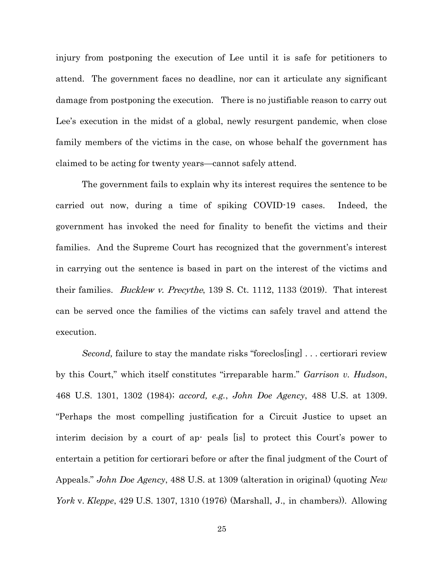injury from postponing the execution of Lee until it is safe for petitioners to attend. The government faces no deadline, nor can it articulate any significant damage from postponing the execution. There is no justifiable reason to carry out Lee's execution in the midst of a global, newly resurgent pandemic, when close family members of the victims in the case, on whose behalf the government has claimed to be acting for twenty years—cannot safely attend.

The government fails to explain why its interest requires the sentence to be carried out now, during a time of spiking COVID-19 cases. Indeed, the government has invoked the need for finality to benefit the victims and their families. And the Supreme Court has recognized that the government's interest in carrying out the sentence is based in part on the interest of the victims and their families. *Bucklew v. Precythe*, 139 S. Ct. 1112, 1133 (2019). That interest can be served once the families of the victims can safely travel and attend the execution.

Second, failure to stay the mandate risks "foreclos[ing] ... certiorari review by this Court," which itself constitutes "irreparable harm." Garrison v. Hudson, 468 U.S. 1301, 1302 (1984); accord, e.g., John Doe Agency, 488 U.S. at 1309. "Perhaps the most compelling justification for a Circuit Justice to upset an interim decision by a court of ap- peals [is] to protect this Court's power to entertain a petition for certiorari before or after the final judgment of the Court of Appeals." *John Doe Agency*, 488 U.S. at 1309 (alteration in original) (quoting *New* York v. Kleppe, 429 U.S. 1307, 1310 (1976) (Marshall, J., in chambers)). Allowing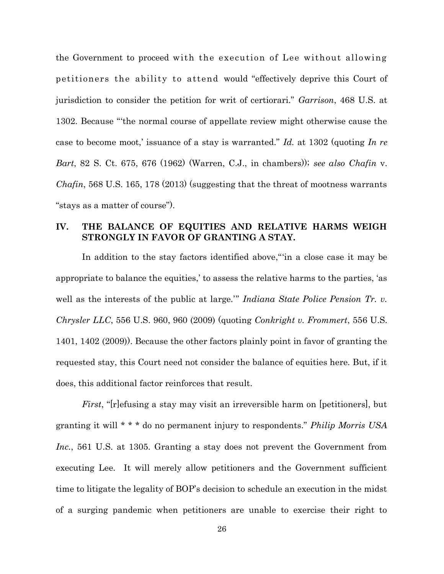the Government to proceed with the execution of Lee without allowing petitioners the ability to attend would "effectively deprive this Court of jurisdiction to consider the petition for writ of certiorari." Garrison, 468 U.S. at 1302. Because "'the normal course of appellate review might otherwise cause the case to become moot, issuance of a stay is warranted." Id. at 1302 (quoting In re Bart, 82 S. Ct. 675, 676 (1962) (Warren, C.J., in chambers)); see also Chafin v. *Chafin*, 568 U.S. 165, 178 (2013) (suggesting that the threat of mootness warrants "stays as a matter of course").

### IV. THE BALANCE OF EQUITIES AND RELATIVE HARMS WEIGH STRONGLY IN FAVOR OF GRANTING A STAY.

In addition to the stay factors identified above,"'in a close case it may be appropriate to balance the equities,' to assess the relative harms to the parties, 'as well as the interests of the public at large." *Indiana State Police Pension Tr. v.* Chrysler LLC, 556 U.S. 960, 960 (2009) (quoting Conkright v. Frommert, 556 U.S. 1401, 1402 (2009)). Because the other factors plainly point in favor of granting the requested stay, this Court need not consider the balance of equities here. But, if it does, this additional factor reinforces that result.

First, "[r]efusing a stay may visit an irreversible harm on [petitioners], but granting it will  $* * *$  do no permanent injury to respondents." *Philip Morris USA* Inc., 561 U.S. at 1305. Granting a stay does not prevent the Government from executing Lee. It will merely allow petitioners and the Government sufficient time to litigate the legality of BOP's decision to schedule an execution in the midst of a surging pandemic when petitioners are unable to exercise their right to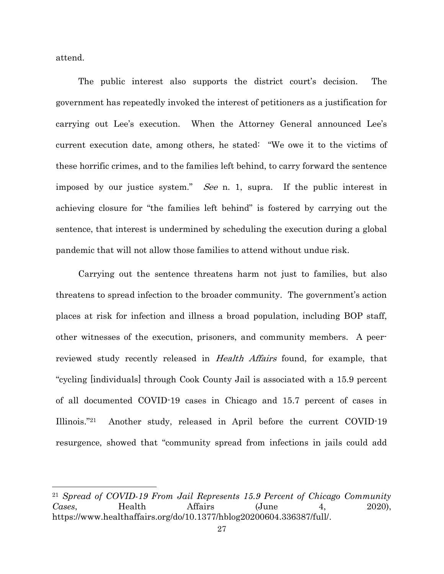attend.

The public interest also supports the district court's decision. The government has repeatedly invoked the interest of petitioners as a justification for carrying out Lee's execution. When the Attorney General announced Lee's current execution date, among others, he stated: "We owe it to the victims of these horrific crimes, and to the families left behind, to carry forward the sentence imposed by our justice system." See n. 1, supra. If the public interest in achieving closure for "the families left behind" is fostered by carrying out the sentence, that interest is undermined by scheduling the execution during a global pandemic that will not allow those families to attend without undue risk.

 Carrying out the sentence threatens harm not just to families, but also threatens to spread infection to the broader community. The government's action places at risk for infection and illness a broad population, including BOP staff, other witnesses of the execution, prisoners, and community members. A peerreviewed study recently released in Health Affairs found, for example, that "cycling [individuals] through Cook County Jail is associated with a 15.9 percent of all documented COVID-19 cases in Chicago and 15.7 percent of cases in Illinois."21 Another study, released in April before the current COVID-19 resurgence, showed that "community spread from infections in jails could add

<sup>21</sup> Spread of COVID-19 From Jail Represents 15.9 Percent of Chicago Community Cases, Health Affairs (June 4, 2020), https://www.healthaffairs.org/do/10.1377/hblog20200604.336387/full/.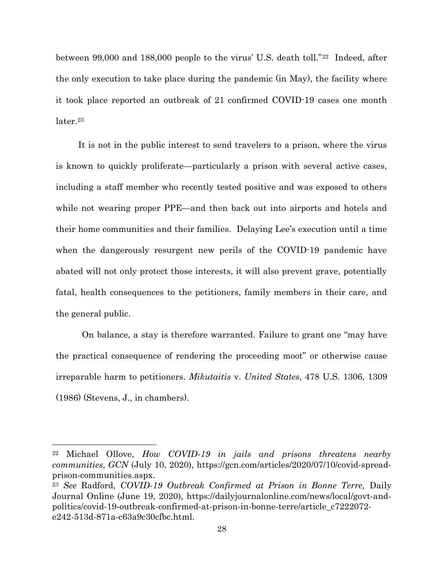between 99,000 and 188,000 people to the virus' U.S. death toll."22 Indeed, after the only execution to take place during the pandemic (in May), the facility where it took place reported an outbreak of 21 confirmed COVID-19 cases one month later.<sup>23</sup>

 It is not in the public interest to send travelers to a prison, where the virus is known to quickly proliferate—particularly a prison with several active cases, including a staff member who recently tested positive and was exposed to others while not wearing proper PPE—and then back out into airports and hotels and their home communities and their families. Delaying Lee's execution until a time when the dangerously resurgent new perils of the COVID-19 pandemic have abated will not only protect those interests, it will also prevent grave, potentially fatal, health consequences to the petitioners, family members in their care, and the general public.

On balance, a stay is therefore warranted. Failure to grant one "may have the practical consequence of rendering the proceeding moot" or otherwise cause irreparable harm to petitioners. Mikutaitis v. United States, 478 U.S. 1306, 1309 (1986) (Stevens, J., in chambers).

<sup>22</sup> Michael Ollove, How COVID-19 in jails and prisons threatens nearby communities, GCN (July 10, 2020), https://gcn.com/articles/2020/07/10/covid-spreadprison-communities.aspx.

<sup>23</sup> See Radford, COVID-19 Outbreak Confirmed at Prison in Bonne Terre, Daily Journal Online (June 19, 2020), https://dailyjournalonline.com/news/local/govt-andpolitics/covid-19-outbreak-confirmed-at-prison-in-bonne-terre/article\_c7222072 e242-513d-871a-c63a9c30cfbc.html.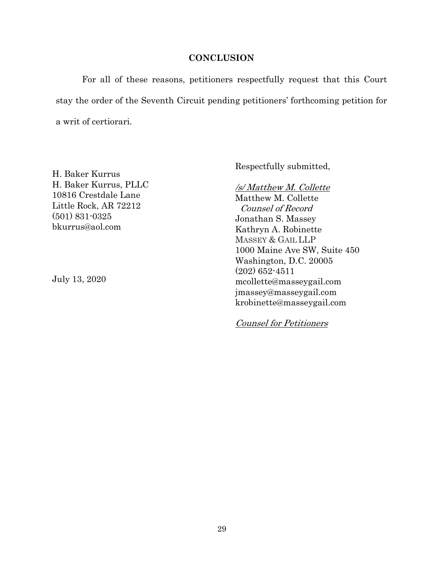#### **CONCLUSION**

For all of these reasons, petitioners respectfully request that this Court stay the order of the Seventh Circuit pending petitioners' forthcoming petition for a writ of certiorari.

H. Baker Kurrus H. Baker Kurrus, PLLC 10816 Crestdale Lane Little Rock, AR 72212 (501) 831-0325 bkurrus@aol.com

July 13, 2020

Respectfully submitted,

/s/ Matthew M. Collette Matthew M. Collette Counsel of Record Jonathan S. Massey Kathryn A. Robinette MASSEY & GAIL LLP 1000 Maine Ave SW, Suite 450 Washington, D.C. 20005 (202) 652-4511 mcollette@masseygail.com jmassey@masseygail.com krobinette@masseygail.com

Counsel for Petitioners